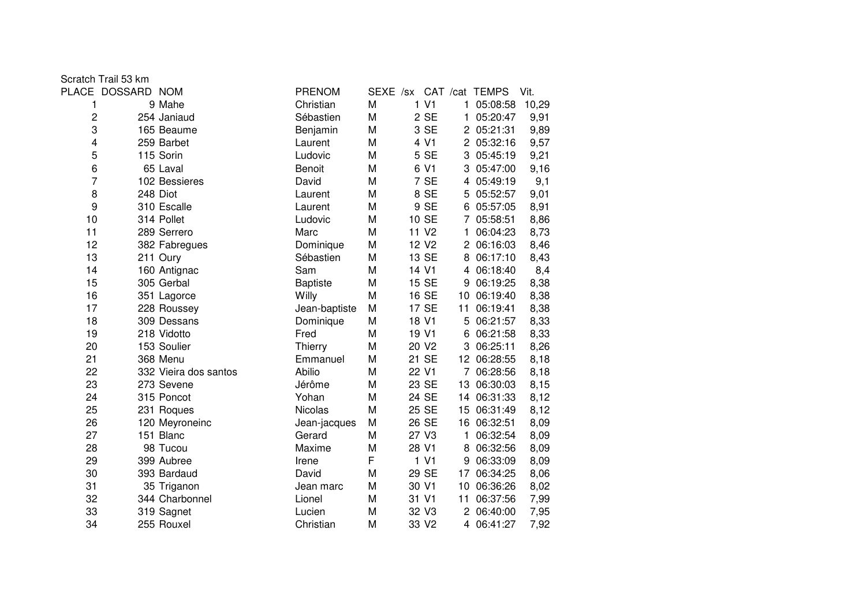|  |  | Scratch Trail 53 km |  |
|--|--|---------------------|--|
|--|--|---------------------|--|

|                | PLACE DOSSARD NOM |                       | <b>PRENOM</b>   |   |                   |                      | SEXE /sx CAT /cat TEMPS | Vit.  |
|----------------|-------------------|-----------------------|-----------------|---|-------------------|----------------------|-------------------------|-------|
| 1              |                   | 9 Mahe                | Christian       | M | 1 <sub>VI</sub>   | 1                    | 05:08:58                | 10,29 |
| 2              |                   | 254 Janiaud           | Sébastien       | M | 2 SE              | 1                    | 05:20:47                | 9,91  |
| 3              |                   | 165 Beaume            | Benjamin        | M | 3 SE              |                      | 2 05:21:31              | 9,89  |
| 4              |                   | 259 Barbet            | Laurent         | M | 4 V1              |                      | 2 05:32:16              | 9,57  |
| 5              |                   | 115 Sorin             | Ludovic         | M | 5 SE              |                      | 3 05:45:19              | 9,21  |
| 6              |                   | 65 Laval              | <b>Benoit</b>   | M | 6 V1              | 3                    | 05:47:00                | 9,16  |
| $\overline{7}$ |                   | 102 Bessieres         | David           | M | 7 SE              | 4                    | 05:49:19                | 9,1   |
| 8              |                   | 248 Diot              | Laurent         | M | 8 SE              | 5                    | 05:52:57                | 9,01  |
| 9              |                   | 310 Escalle           | Laurent         | M | 9 SE              | 6                    | 05:57:05                | 8,91  |
| 10             |                   | 314 Pollet            | Ludovic         | M | 10 SE             |                      | 05:58:51                | 8,86  |
| 11             |                   | 289 Serrero           | Marc            | M | 11 V <sub>2</sub> | 1                    | 06:04:23                | 8,73  |
| 12             |                   | 382 Fabregues         | Dominique       | M | 12 V <sub>2</sub> | $\overline{2}$       | 06:16:03                | 8,46  |
| 13             |                   | 211 Oury              | Sébastien       | M | 13 SE             | 8                    | 06:17:10                | 8,43  |
| 14             |                   | 160 Antignac          | Sam             | M | 14 V1             |                      | 4 06:18:40              | 8,4   |
| 15             |                   | 305 Gerbal            | <b>Baptiste</b> | M | 15 SE             | 9                    | 06:19:25                | 8,38  |
| 16             |                   | 351 Lagorce           | Willy           | M | 16 SE             | 10                   | 06:19:40                | 8,38  |
| 17             |                   | 228 Roussey           | Jean-baptiste   | M | 17 SE             | 11                   | 06:19:41                | 8,38  |
| 18             |                   | 309 Dessans           | Dominique       | M | 18 V1             | 5                    | 06:21:57                | 8,33  |
| 19             |                   | 218 Vidotto           | Fred            | M | 19 V1             | 6                    | 06:21:58                | 8,33  |
| 20             |                   | 153 Soulier           | Thierry         | M | 20 V <sub>2</sub> | 3                    | 06:25:11                | 8,26  |
| 21             |                   | 368 Menu              | Emmanuel        | M | 21 SE             |                      | 12 06:28:55             | 8,18  |
| 22             |                   | 332 Vieira dos santos | Abilio          | M | 22 V1             | $\overline{7}$       | 06:28:56                | 8,18  |
| 23             |                   | 273 Sevene            | Jérôme          | M | 23 SE             | 13                   | 06:30:03                | 8,15  |
| 24             |                   | 315 Poncot            | Yohan           | M | 24 SE             | 14                   | 06:31:33                | 8,12  |
| 25             |                   | 231 Roques            | <b>Nicolas</b>  | M | 25 SE             | 15                   | 06:31:49                | 8,12  |
| 26             |                   | 120 Meyroneinc        | Jean-jacques    | M | 26 SE             | 16                   | 06:32:51                | 8,09  |
| 27             |                   | 151 Blanc             | Gerard          | M | 27 V3             | 1                    | 06:32:54                | 8,09  |
| 28             |                   | 98 Tucou              | Maxime          | M | 28 V1             | 8                    | 06:32:56                | 8,09  |
| 29             |                   | 399 Aubree            | Irene           | F | 1 V1              | 9                    | 06:33:09                | 8,09  |
| 30             |                   | 393 Bardaud           | David           | M | 29 SE             | 17                   | 06:34:25                | 8,06  |
| 31             |                   | 35 Triganon           | Jean marc       | M | 30 V1             | 10                   | 06:36:26                | 8,02  |
| 32             |                   | 344 Charbonnel        | Lionel          | М | 31 V1             | 11                   | 06:37:56                | 7,99  |
| 33             |                   | 319 Sagnet            | Lucien          | M | 32 V3             | $\mathbf{2}^{\circ}$ | 06:40:00                | 7,95  |
| 34             |                   | 255 Rouxel            | Christian       | M | 33 V2             | 4                    | 06:41:27                | 7,92  |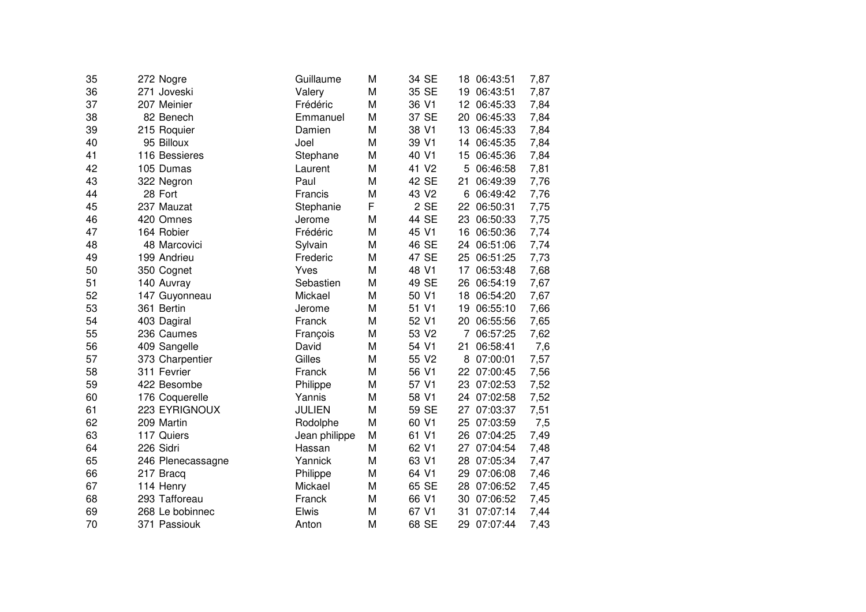| 35 | 272 Nogre         | Guillaume     | M | 34 SE             | 18 | 06:43:51    | 7,87 |
|----|-------------------|---------------|---|-------------------|----|-------------|------|
| 36 | 271 Joveski       | Valery        | M | 35 SE             | 19 | 06:43:51    | 7,87 |
| 37 | 207 Meinier       | Frédéric      | M | 36 V1             | 12 | 06:45:33    | 7,84 |
| 38 | 82 Benech         | Emmanuel      | M | 37 SE             | 20 | 06:45:33    | 7,84 |
| 39 | 215 Roquier       | Damien        | M | 38 V1             | 13 | 06:45:33    | 7,84 |
| 40 | 95 Billoux        | Joel          | M | 39 V1             | 14 | 06:45:35    | 7,84 |
| 41 | 116 Bessieres     | Stephane      | M | 40 V1             | 15 | 06:45:36    | 7,84 |
| 42 | 105 Dumas         | Laurent       | M | 41 V <sub>2</sub> | 5  | 06:46:58    | 7,81 |
| 43 | 322 Negron        | Paul          | M | 42 SE             | 21 | 06:49:39    | 7,76 |
| 44 | 28 Fort           | Francis       | M | 43 V <sub>2</sub> | 6  | 06:49:42    | 7,76 |
| 45 | 237 Mauzat        | Stephanie     | F | 2 SE              | 22 | 06:50:31    | 7,75 |
| 46 | 420 Omnes         | Jerome        | M | 44 SE             | 23 | 06:50:33    | 7,75 |
| 47 | 164 Robier        | Frédéric      | M | 45 V1             | 16 | 06:50:36    | 7,74 |
| 48 | 48 Marcovici      | Sylvain       | M | 46 SE             | 24 | 06:51:06    | 7,74 |
| 49 | 199 Andrieu       | Frederic      | M | 47 SE             | 25 | 06:51:25    | 7,73 |
| 50 | 350 Cognet        | Yves          | M | 48 V1             | 17 | 06:53:48    | 7,68 |
| 51 | 140 Auvray        | Sebastien     | M | 49 SE             | 26 | 06:54:19    | 7,67 |
| 52 | 147 Guyonneau     | Mickael       | M | 50 V1             | 18 | 06:54:20    | 7,67 |
| 53 | 361 Bertin        | Jerome        | M | 51 V1             | 19 | 06:55:10    | 7,66 |
| 54 | 403 Dagiral       | Franck        | M | 52 V1             | 20 | 06:55:56    | 7,65 |
| 55 | 236 Caumes        | François      | M | 53 V2             | 7  | 06:57:25    | 7,62 |
| 56 | 409 Sangelle      | David         | M | 54 V1             | 21 | 06:58:41    | 7,6  |
| 57 | 373 Charpentier   | Gilles        | M | 55 V2             | 8  | 07:00:01    | 7,57 |
| 58 | 311 Fevrier       | Franck        | M | 56 V1             |    | 22 07:00:45 | 7,56 |
| 59 | 422 Besombe       | Philippe      | M | 57 V1             | 23 | 07:02:53    | 7,52 |
| 60 | 176 Coquerelle    | Yannis        | M | 58 V1             | 24 | 07:02:58    | 7,52 |
| 61 | 223 EYRIGNOUX     | <b>JULIEN</b> | M | 59 SE             | 27 | 07:03:37    | 7,51 |
| 62 | 209 Martin        | Rodolphe      | M | 60 V1             | 25 | 07:03:59    | 7,5  |
| 63 | 117 Quiers        | Jean philippe | M | 61 V1             | 26 | 07:04:25    | 7,49 |
| 64 | 226 Sidri         | Hassan        | M | 62 V1             | 27 | 07:04:54    | 7,48 |
| 65 | 246 Plenecassagne | Yannick       | M | 63 V1             | 28 | 07:05:34    | 7,47 |
| 66 | 217 Bracq         | Philippe      | M | 64 V1             | 29 | 07:06:08    | 7,46 |
| 67 | 114 Henry         | Mickael       | M | 65 SE             | 28 | 07:06:52    | 7,45 |
| 68 | 293 Tafforeau     | Franck        | M | 66 V1             | 30 | 07:06:52    | 7,45 |
| 69 | 268 Le bobinnec   | Elwis         | M | 67 V1             | 31 | 07:07:14    | 7,44 |
| 70 | 371 Passiouk      | Anton         | M | 68 SE             | 29 | 07:07:44    | 7,43 |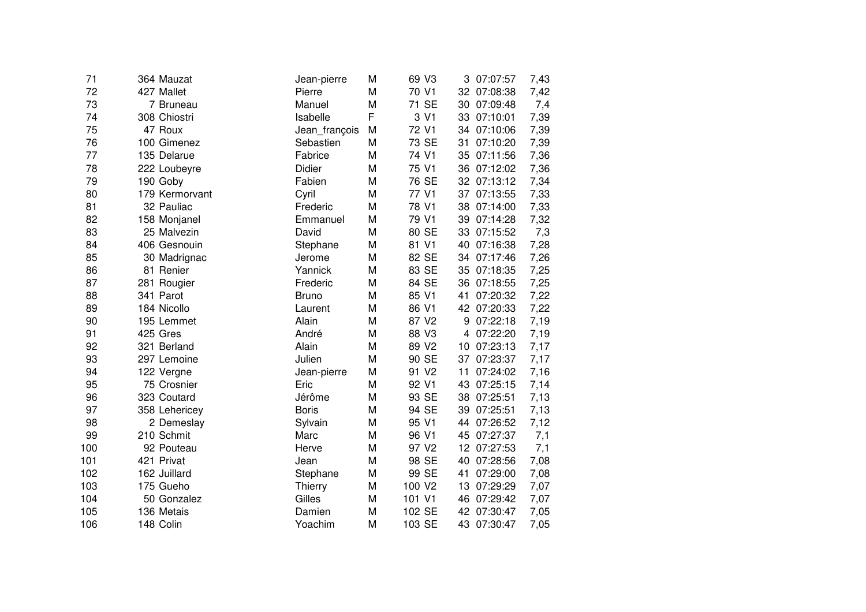| 71  | 364 Mauzat     | Jean-pierre   | M | 69 V3              |    | 3 07:07:57  | 7,43 |
|-----|----------------|---------------|---|--------------------|----|-------------|------|
| 72  | 427 Mallet     | Pierre        | M | 70 V1              |    | 32 07:08:38 | 7,42 |
| 73  | 7 Bruneau      | Manuel        | M | 71 SE              | 30 | 07:09:48    | 7,4  |
| 74  | 308 Chiostri   | Isabelle      | F | 3 V1               | 33 | 07:10:01    | 7,39 |
| 75  | 47 Roux        | Jean_françois | M | 72 V1              | 34 | 07:10:06    | 7,39 |
| 76  | 100 Gimenez    | Sebastien     | M | 73 SE              | 31 | 07:10:20    | 7,39 |
| 77  | 135 Delarue    | Fabrice       | M | 74 V1              | 35 | 07:11:56    | 7,36 |
| 78  | 222 Loubeyre   | Didier        | M | 75 V1              |    | 36 07:12:02 | 7,36 |
| 79  | 190 Goby       | Fabien        | M | 76 SE              |    | 32 07:13:12 | 7,34 |
| 80  | 179 Kermorvant | Cyril         | M | 77 V1              |    | 37 07:13:55 | 7,33 |
| 81  | 32 Pauliac     | Frederic      | M | 78 V1              |    | 38 07:14:00 | 7,33 |
| 82  | 158 Monjanel   | Emmanuel      | M | 79 V1              |    | 39 07:14:28 | 7,32 |
| 83  | 25 Malvezin    | David         | M | 80 SE              |    | 33 07:15:52 | 7,3  |
| 84  | 406 Gesnouin   | Stephane      | M | 81 V1              |    | 40 07:16:38 | 7,28 |
| 85  | 30 Madrignac   | Jerome        | M | 82 SE              |    | 34 07:17:46 | 7,26 |
| 86  | 81 Renier      | Yannick       | M | 83 SE              | 35 | 07:18:35    | 7,25 |
| 87  | 281 Rougier    | Frederic      | M | 84 SE              |    | 36 07:18:55 | 7,25 |
| 88  | 341 Parot      | <b>Bruno</b>  | M | 85 V1              | 41 | 07:20:32    | 7,22 |
| 89  | 184 Nicollo    | Laurent       | M | 86 V1              |    | 42 07:20:33 | 7,22 |
| 90  | 195 Lemmet     | Alain         | M | 87 V2              | 9  | 07:22:18    | 7,19 |
| 91  | 425 Gres       | André         | M | 88 V3              | 4  | 07:22:20    | 7,19 |
| 92  | 321 Berland    | Alain         | M | 89 V <sub>2</sub>  | 10 | 07:23:13    | 7,17 |
| 93  | 297 Lemoine    | Julien        | M | 90 SE              | 37 | 07:23:37    | 7,17 |
| 94  | 122 Vergne     | Jean-pierre   | M | 91 V <sub>2</sub>  | 11 | 07:24:02    | 7,16 |
| 95  | 75 Crosnier    | Eric          | M | 92 V1              | 43 | 07:25:15    | 7,14 |
| 96  | 323 Coutard    | Jérôme        | M | 93 SE              | 38 | 07:25:51    | 7,13 |
| 97  | 358 Lehericey  | <b>Boris</b>  | M | 94 SE              | 39 | 07:25:51    | 7,13 |
| 98  | 2 Demeslay     | Sylvain       | M | 95 V1              | 44 | 07:26:52    | 7,12 |
| 99  | 210 Schmit     | Marc          | M | 96 V1              | 45 | 07:27:37    | 7,1  |
| 100 | 92 Pouteau     | Herve         | M | 97 V <sub>2</sub>  | 12 | 07:27:53    | 7,1  |
| 101 | 421 Privat     | Jean          | M | 98 SE              | 40 | 07:28:56    | 7,08 |
| 102 | 162 Juillard   | Stephane      | M | 99 SE              | 41 | 07:29:00    | 7,08 |
| 103 | 175 Gueho      | Thierry       | M | 100 V <sub>2</sub> | 13 | 07:29:29    | 7,07 |
| 104 | 50 Gonzalez    | Gilles        | M | 101 V1             |    | 46 07:29:42 | 7,07 |
| 105 | 136 Metais     | Damien        | M | 102 SE             |    | 42 07:30:47 | 7,05 |
| 106 | 148 Colin      | Yoachim       | M | 103 SE             |    | 43 07:30:47 | 7,05 |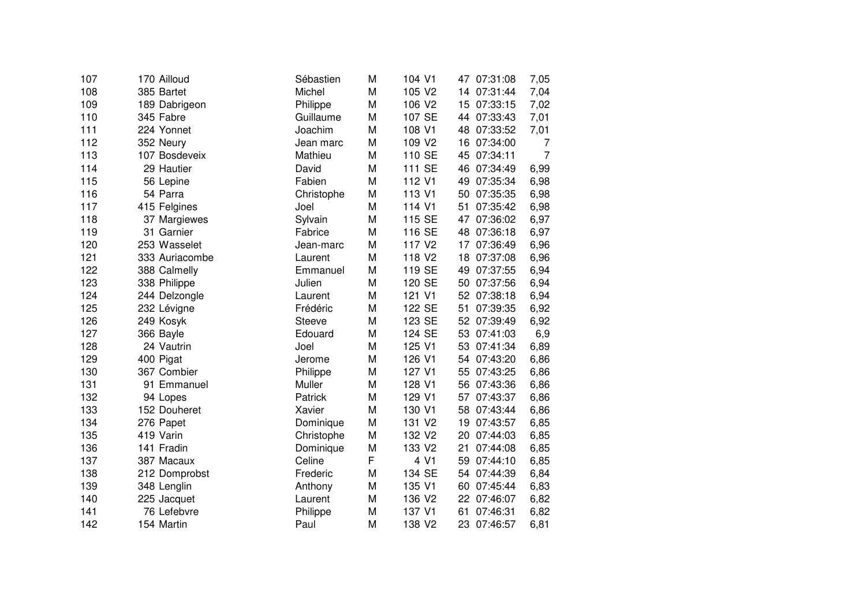| 107 | 170 Ailloud    | Sébastien     | M | 104 V1             |    | 47 07:31:08 | 7,05           |
|-----|----------------|---------------|---|--------------------|----|-------------|----------------|
| 108 | 385 Bartet     | Michel        | M | 105 V2             | 14 | 07:31:44    | 7,04           |
| 109 | 189 Dabrigeon  | Philippe      | M | 106 V2             | 15 | 07:33:15    | 7,02           |
| 110 | 345 Fabre      | Guillaume     | M | 107 SE             | 44 | 07:33:43    | 7,01           |
| 111 | 224 Yonnet     | Joachim       | M | 108 V1             | 48 | 07:33:52    | 7,01           |
| 112 | 352 Neury      | Jean marc     | M | 109 V2             | 16 | 07:34:00    | 7              |
| 113 | 107 Bosdeveix  | Mathieu       | M | 110 SE             | 45 | 07:34:11    | $\overline{7}$ |
| 114 | 29 Hautier     | David         | M | 111 SE             | 46 | 07:34:49    | 6,99           |
| 115 | 56 Lepine      | Fabien        | M | 112 V1             |    | 49 07:35:34 | 6,98           |
| 116 | 54 Parra       | Christophe    | M | 113 V1             |    | 50 07:35:35 | 6,98           |
| 117 | 415 Felgines   | Joel          | M | 114 V1             | 51 | 07:35:42    | 6,98           |
| 118 | 37 Margiewes   | Sylvain       | M | 115 SE             | 47 | 07:36:02    | 6,97           |
| 119 | 31 Garnier     | Fabrice       | M | 116 SE             | 48 | 07:36:18    | 6,97           |
| 120 | 253 Wasselet   | Jean-marc     | M | 117 V <sub>2</sub> | 17 | 07:36:49    | 6,96           |
| 121 | 333 Auriacombe | Laurent       | M | 118 V <sub>2</sub> | 18 | 07:37:08    | 6,96           |
| 122 | 388 Calmelly   | Emmanuel      | M | 119 SE             | 49 | 07:37:55    | 6,94           |
| 123 | 338 Philippe   | Julien        | M | 120 SE             | 50 | 07:37:56    | 6,94           |
| 124 | 244 Delzongle  | Laurent       | M | 121 V1             | 52 | 07:38:18    | 6,94           |
| 125 | 232 Lévigne    | Frédéric      | M | 122 SE             | 51 | 07:39:35    | 6,92           |
| 126 | 249 Kosyk      | <b>Steeve</b> | M | 123 SE             |    | 52 07:39:49 | 6,92           |
| 127 | 366 Bayle      | Edouard       | M | 124 SE             | 53 | 07:41:03    | 6,9            |
| 128 | 24 Vautrin     | Joel          | M | 125 V1             |    | 53 07:41:34 | 6,89           |
| 129 | 400 Pigat      | Jerome        | M | 126 V1             | 54 | 07:43:20    | 6,86           |
| 130 | 367 Combier    | Philippe      | M | 127 V1             | 55 | 07:43:25    | 6,86           |
| 131 | 91 Emmanuel    | Muller        | M | 128 V1             | 56 | 07:43:36    | 6,86           |
| 132 | 94 Lopes       | Patrick       | M | 129 V1             | 57 | 07:43:37    | 6,86           |
| 133 | 152 Douheret   | Xavier        | M | 130 V1             | 58 | 07:43:44    | 6,86           |
| 134 | 276 Papet      | Dominique     | M | 131 V2             | 19 | 07:43:57    | 6,85           |
| 135 | 419 Varin      | Christophe    | M | 132 V2             | 20 | 07:44:03    | 6,85           |
| 136 | 141 Fradin     | Dominique     | M | 133 V2             | 21 | 07:44:08    | 6,85           |
| 137 | 387 Macaux     | Celine        | F | 4 V1               | 59 | 07:44:10    | 6,85           |
| 138 | 212 Domprobst  | Frederic      | M | 134 SE             | 54 | 07:44:39    | 6,84           |
| 139 | 348 Lenglin    | Anthony       | M | 135 V1             | 60 | 07:45:44    | 6,83           |
| 140 | 225 Jacquet    | Laurent       | M | 136 V2             |    | 22 07:46:07 | 6,82           |
| 141 | 76 Lefebvre    | Philippe      | M | 137 V1             | 61 | 07:46:31    | 6,82           |
| 142 | 154 Martin     | Paul          | M | 138 V2             | 23 | 07:46:57    | 6,81           |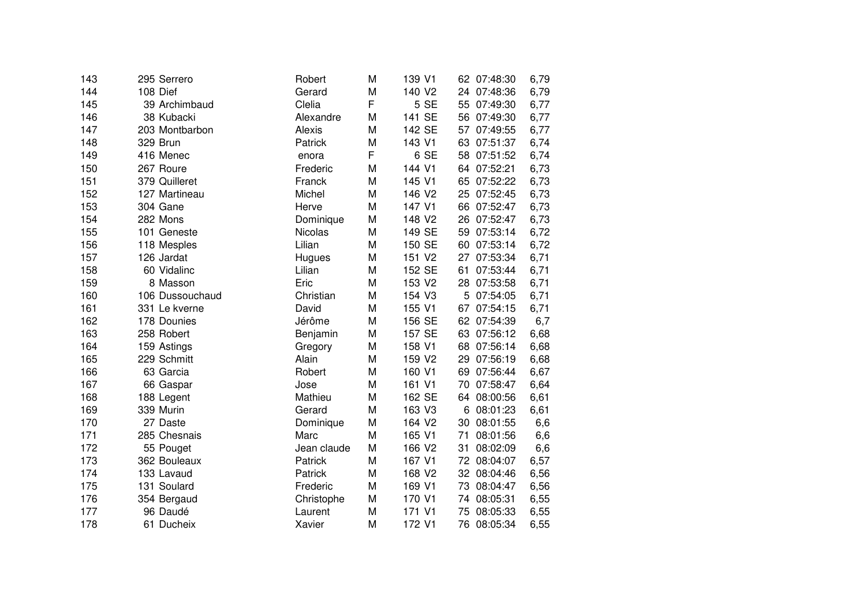| 143 | 295 Serrero     | Robert         | M | 139 V1 |    | 62 07:48:30 | 6,79 |
|-----|-----------------|----------------|---|--------|----|-------------|------|
| 144 | 108 Dief        | Gerard         | M | 140 V2 |    | 24 07:48:36 | 6,79 |
| 145 | 39 Archimbaud   | Clelia         | F | 5 SE   | 55 | 07:49:30    | 6,77 |
| 146 | 38 Kubacki      | Alexandre      | M | 141 SE | 56 | 07:49:30    | 6,77 |
| 147 | 203 Montbarbon  | Alexis         | M | 142 SE | 57 | 07:49:55    | 6,77 |
| 148 | 329 Brun        | Patrick        | M | 143 V1 | 63 | 07:51:37    | 6,74 |
| 149 | 416 Menec       | enora          | F | 6 SE   | 58 | 07:51:52    | 6,74 |
| 150 | 267 Roure       | Frederic       | M | 144 V1 |    | 64 07:52:21 | 6,73 |
| 151 | 379 Quilleret   | Franck         | M | 145 V1 |    | 65 07:52:22 | 6,73 |
| 152 | 127 Martineau   | Michel         | M | 146 V2 |    | 25 07:52:45 | 6,73 |
| 153 | 304 Gane        | Herve          | M | 147 V1 |    | 66 07:52:47 | 6,73 |
| 154 | 282 Mons        | Dominique      | M | 148 V2 |    | 26 07:52:47 | 6,73 |
| 155 | 101 Geneste     | <b>Nicolas</b> | M | 149 SE |    | 59 07:53:14 | 6,72 |
| 156 | 118 Mesples     | Lilian         | M | 150 SE |    | 60 07:53:14 | 6,72 |
| 157 | 126 Jardat      | Hugues         | M | 151 V2 | 27 | 07:53:34    | 6,71 |
| 158 | 60 Vidalinc     | Lilian         | M | 152 SE | 61 | 07:53:44    | 6,71 |
| 159 | 8 Masson        | Eric           | M | 153 V2 | 28 | 07:53:58    | 6,71 |
| 160 | 106 Dussouchaud | Christian      | M | 154 V3 | 5  | 07:54:05    | 6,71 |
| 161 | 331 Le kverne   | David          | M | 155 V1 | 67 | 07:54:15    | 6,71 |
| 162 | 178 Dounies     | Jérôme         | M | 156 SE |    | 62 07:54:39 | 6,7  |
| 163 | 258 Robert      | Benjamin       | M | 157 SE | 63 | 07:56:12    | 6,68 |
| 164 | 159 Astings     | Gregory        | M | 158 V1 | 68 | 07:56:14    | 6,68 |
| 165 | 229 Schmitt     | Alain          | M | 159 V2 | 29 | 07:56:19    | 6,68 |
| 166 | 63 Garcia       | Robert         | M | 160 V1 |    | 69 07:56:44 | 6,67 |
| 167 | 66 Gaspar       | Jose           | M | 161 V1 |    | 70 07:58:47 | 6,64 |
| 168 | 188 Legent      | Mathieu        | M | 162 SE | 64 | 08:00:56    | 6,61 |
| 169 | 339 Murin       | Gerard         | M | 163 V3 | 6  | 08:01:23    | 6,61 |
| 170 | 27 Daste        | Dominique      | M | 164 V2 | 30 | 08:01:55    | 6,6  |
| 171 | 285 Chesnais    | Marc           | M | 165 V1 | 71 | 08:01:56    | 6,6  |
| 172 | 55 Pouget       | Jean claude    | M | 166 V2 | 31 | 08:02:09    | 6,6  |
| 173 | 362 Bouleaux    | Patrick        | M | 167 V1 | 72 | 08:04:07    | 6,57 |
| 174 | 133 Lavaud      | Patrick        | M | 168 V2 | 32 | 08:04:46    | 6,56 |
| 175 | 131 Soulard     | Frederic       | M | 169 V1 | 73 | 08:04:47    | 6,56 |
| 176 | 354 Bergaud     | Christophe     | M | 170 V1 | 74 | 08:05:31    | 6,55 |
| 177 | 96 Daudé        | Laurent        | M | 171 V1 | 75 | 08:05:33    | 6,55 |
| 178 | 61 Ducheix      | Xavier         | M | 172 V1 | 76 | 08:05:34    | 6,55 |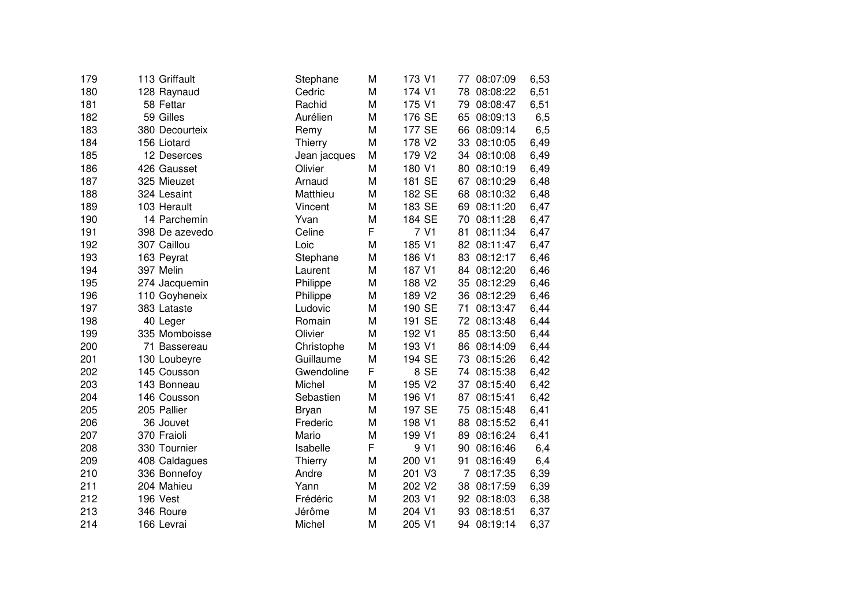| 179 | 113 Griffault  | Stephane     | M | 173 V1 | 77 | 08:07:09    | 6,53 |
|-----|----------------|--------------|---|--------|----|-------------|------|
| 180 | 128 Raynaud    | Cedric       | M | 174 V1 | 78 | 08:08:22    | 6,51 |
| 181 | 58 Fettar      | Rachid       | M | 175 V1 | 79 | 08:08:47    | 6,51 |
| 182 | 59 Gilles      | Aurélien     | M | 176 SE | 65 | 08:09:13    | 6,5  |
| 183 | 380 Decourteix | Remy         | M | 177 SE | 66 | 08:09:14    | 6,5  |
| 184 | 156 Liotard    | Thierry      | M | 178 V2 | 33 | 08:10:05    | 6,49 |
| 185 | 12 Deserces    | Jean jacques | M | 179 V2 |    | 34 08:10:08 | 6,49 |
| 186 | 426 Gausset    | Olivier      | M | 180 V1 |    | 80 08:10:19 | 6,49 |
| 187 | 325 Mieuzet    | Arnaud       | M | 181 SE |    | 67 08:10:29 | 6,48 |
| 188 | 324 Lesaint    | Matthieu     | M | 182 SE |    | 68 08:10:32 | 6,48 |
| 189 | 103 Herault    | Vincent      | M | 183 SE |    | 69 08:11:20 | 6,47 |
| 190 | 14 Parchemin   | Yvan         | M | 184 SE |    | 70 08:11:28 | 6,47 |
| 191 | 398 De azevedo | Celine       | F | 7 V1   | 81 | 08:11:34    | 6,47 |
| 192 | 307 Caillou    | Loic         | M | 185 V1 |    | 82 08:11:47 | 6,47 |
| 193 | 163 Peyrat     | Stephane     | M | 186 V1 | 83 | 08:12:17    | 6,46 |
| 194 | 397 Melin      | Laurent      | M | 187 V1 | 84 | 08:12:20    | 6,46 |
| 195 | 274 Jacquemin  | Philippe     | M | 188 V2 | 35 | 08:12:29    | 6,46 |
| 196 | 110 Goyheneix  | Philippe     | M | 189 V2 |    | 36 08:12:29 | 6,46 |
| 197 | 383 Lataste    | Ludovic      | M | 190 SE | 71 | 08:13:47    | 6,44 |
| 198 | 40 Leger       | Romain       | M | 191 SE |    | 72 08:13:48 | 6,44 |
| 199 | 335 Momboisse  | Olivier      | M | 192 V1 | 85 | 08:13:50    | 6,44 |
| 200 | 71 Bassereau   | Christophe   | M | 193 V1 |    | 86 08:14:09 | 6,44 |
| 201 | 130 Loubeyre   | Guillaume    | M | 194 SE | 73 | 08:15:26    | 6,42 |
| 202 | 145 Cousson    | Gwendoline   | F | 8 SE   |    | 74 08:15:38 | 6,42 |
| 203 | 143 Bonneau    | Michel       | M | 195 V2 | 37 | 08:15:40    | 6,42 |
| 204 | 146 Cousson    | Sebastien    | M | 196 V1 | 87 | 08:15:41    | 6,42 |
| 205 | 205 Pallier    | <b>Bryan</b> | M | 197 SE | 75 | 08:15:48    | 6,41 |
| 206 | 36 Jouvet      | Frederic     | M | 198 V1 | 88 | 08:15:52    | 6,41 |
| 207 | 370 Fraioli    | Mario        | M | 199 V1 | 89 | 08:16:24    | 6,41 |
| 208 | 330 Tournier   | Isabelle     | F | 9 V1   | 90 | 08:16:46    | 6,4  |
| 209 | 408 Caldagues  | Thierry      | M | 200 V1 | 91 | 08:16:49    | 6,4  |
| 210 | 336 Bonnefoy   | Andre        | M | 201 V3 | 7  | 08:17:35    | 6,39 |
| 211 | 204 Mahieu     | Yann         | M | 202 V2 | 38 | 08:17:59    | 6,39 |
| 212 | 196 Vest       | Frédéric     | M | 203 V1 |    | 92 08:18:03 | 6,38 |
| 213 | 346 Roure      | Jérôme       | M | 204 V1 | 93 | 08:18:51    | 6,37 |
| 214 | 166 Levrai     | Michel       | M | 205 V1 |    | 94 08:19:14 | 6,37 |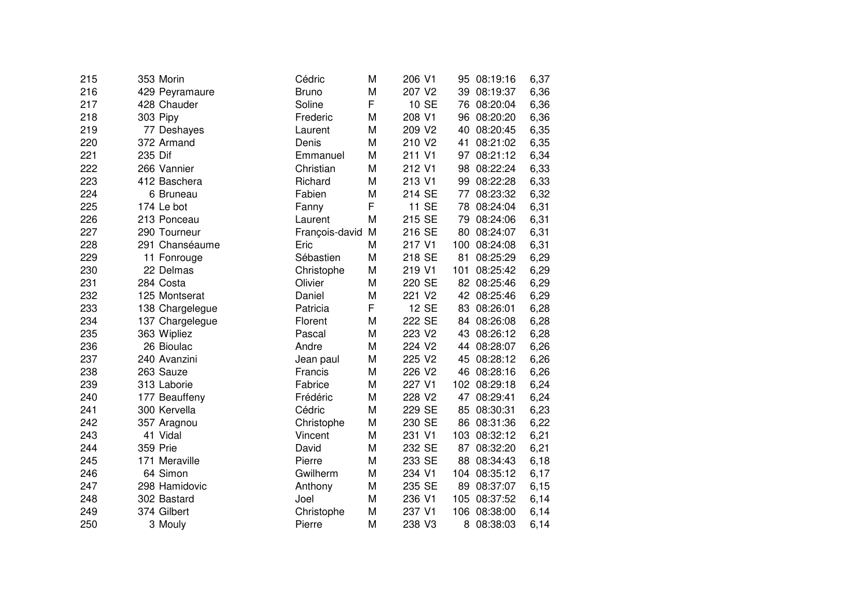| 215 | 353 Morin       | Cédric         | M | 206 V1 | 95  | 08:19:16     | 6,37 |
|-----|-----------------|----------------|---|--------|-----|--------------|------|
| 216 | 429 Peyramaure  | <b>Bruno</b>   | M | 207 V2 | 39  | 08:19:37     | 6,36 |
| 217 | 428 Chauder     | Soline         | F | 10 SE  | 76  | 08:20:04     | 6,36 |
| 218 | 303 Pipy        | Frederic       | M | 208 V1 | 96  | 08:20:20     | 6,36 |
| 219 | 77 Deshayes     | Laurent        | M | 209 V2 | 40  | 08:20:45     | 6,35 |
| 220 | 372 Armand      | Denis          | M | 210 V2 | 41  | 08:21:02     | 6,35 |
| 221 | 235 Dif         | Emmanuel       | M | 211 V1 | 97  | 08:21:12     | 6,34 |
| 222 | 266 Vannier     | Christian      | M | 212 V1 | 98  | 08:22:24     | 6,33 |
| 223 | 412 Baschera    | Richard        | M | 213 V1 | 99  | 08:22:28     | 6,33 |
| 224 | 6 Bruneau       | Fabien         | M | 214 SE | 77  | 08:23:32     | 6,32 |
| 225 | 174 Le bot      | Fanny          | F | 11 SE  | 78  | 08:24:04     | 6,31 |
| 226 | 213 Ponceau     | Laurent        | M | 215 SE |     | 79 08:24:06  | 6,31 |
| 227 | 290 Tourneur    | François-david | M | 216 SE | 80  | 08:24:07     | 6,31 |
| 228 | 291 Chanséaume  | Eric           | M | 217 V1 |     | 100 08:24:08 | 6,31 |
| 229 | 11 Fonrouge     | Sébastien      | M | 218 SE | 81  | 08:25:29     | 6,29 |
| 230 | 22 Delmas       | Christophe     | M | 219 V1 | 101 | 08:25:42     | 6,29 |
| 231 | 284 Costa       | Olivier        | M | 220 SE | 82  | 08:25:46     | 6,29 |
| 232 | 125 Montserat   | Daniel         | M | 221 V2 | 42  | 08:25:46     | 6,29 |
| 233 | 138 Chargelegue | Patricia       | F | 12 SE  | 83  | 08:26:01     | 6,28 |
| 234 | 137 Chargelegue | Florent        | M | 222 SE | 84  | 08:26:08     | 6,28 |
| 235 | 363 Wipliez     | Pascal         | M | 223 V2 | 43  | 08:26:12     | 6,28 |
| 236 | 26 Bioulac      | Andre          | M | 224 V2 | 44  | 08:28:07     | 6,26 |
| 237 | 240 Avanzini    | Jean paul      | M | 225 V2 | 45  | 08:28:12     | 6,26 |
| 238 | 263 Sauze       | Francis        | M | 226 V2 | 46  | 08:28:16     | 6,26 |
| 239 | 313 Laborie     | Fabrice        | M | 227 V1 |     | 102 08:29:18 | 6,24 |
| 240 | 177 Beauffeny   | Frédéric       | M | 228 V2 | 47  | 08:29:41     | 6,24 |
| 241 | 300 Kervella    | Cédric         | M | 229 SE | 85  | 08:30:31     | 6,23 |
| 242 | 357 Aragnou     | Christophe     | M | 230 SE | 86  | 08:31:36     | 6,22 |
| 243 | 41 Vidal        | Vincent        | M | 231 V1 | 103 | 08:32:12     | 6,21 |
| 244 | 359 Prie        | David          | M | 232 SE | 87  | 08:32:20     | 6,21 |
| 245 | 171 Meraville   | Pierre         | M | 233 SE | 88  | 08:34:43     | 6,18 |
| 246 | 64 Simon        | Gwilherm       | M | 234 V1 | 104 | 08:35:12     | 6,17 |
| 247 | 298 Hamidovic   | Anthony        | M | 235 SE | 89  | 08:37:07     | 6,15 |
| 248 | 302 Bastard     | Joel           | M | 236 V1 | 105 | 08:37:52     | 6,14 |
| 249 | 374 Gilbert     | Christophe     | M | 237 V1 |     | 106 08:38:00 | 6,14 |
| 250 | 3 Mouly         | Pierre         | M | 238 V3 | 8   | 08:38:03     | 6,14 |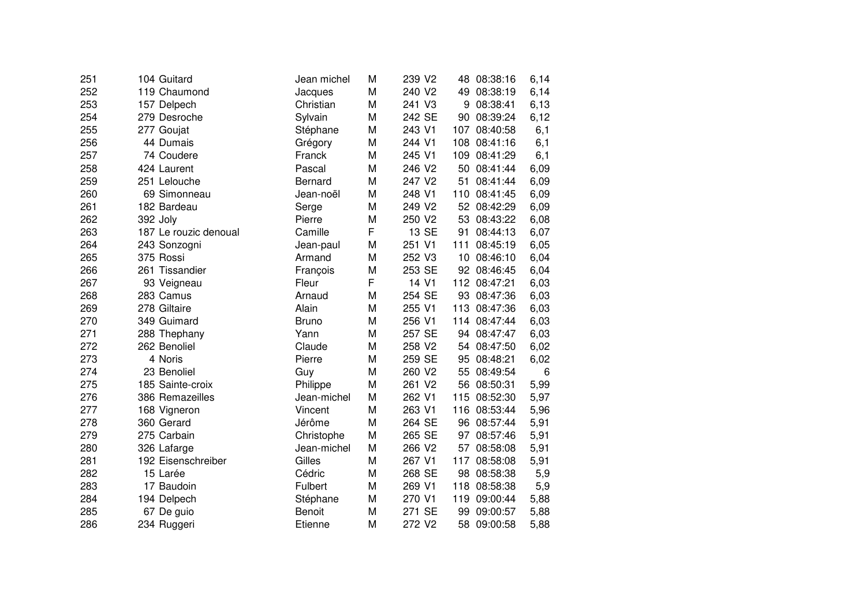| 251 | 104 Guitard           | Jean michel  | M | 239 V2 | 48  | 08:38:16     | 6,14 |
|-----|-----------------------|--------------|---|--------|-----|--------------|------|
| 252 | 119 Chaumond          | Jacques      | M | 240 V2 |     | 49 08:38:19  | 6,14 |
| 253 | 157 Delpech           | Christian    | M | 241 V3 | 9   | 08:38:41     | 6,13 |
| 254 | 279 Desroche          | Sylvain      | M | 242 SE | 90  | 08:39:24     | 6,12 |
| 255 | 277 Goujat            | Stéphane     | M | 243 V1 | 107 | 08:40:58     | 6,1  |
| 256 | 44 Dumais             | Grégory      | M | 244 V1 | 108 | 08:41:16     | 6,1  |
| 257 | 74 Coudere            | Franck       | M | 245 V1 | 109 | 08:41:29     | 6,1  |
| 258 | 424 Laurent           | Pascal       | M | 246 V2 | 50  | 08:41:44     | 6,09 |
| 259 | 251 Lelouche          | Bernard      | M | 247 V2 | 51  | 08:41:44     | 6,09 |
| 260 | 69 Simonneau          | Jean-noël    | M | 248 V1 |     | 110 08:41:45 | 6,09 |
| 261 | 182 Bardeau           | Serge        | M | 249 V2 |     | 52 08:42:29  | 6,09 |
| 262 | 392 Joly              | Pierre       | M | 250 V2 |     | 53 08:43:22  | 6,08 |
| 263 | 187 Le rouzic denoual | Camille      | F | 13 SE  |     | 91 08:44:13  | 6,07 |
| 264 | 243 Sonzogni          | Jean-paul    | M | 251 V1 | 111 | 08:45:19     | 6,05 |
| 265 | 375 Rossi             | Armand       | M | 252 V3 | 10  | 08:46:10     | 6,04 |
| 266 | 261 Tissandier        | François     | M | 253 SE | 92  | 08:46:45     | 6,04 |
| 267 | 93 Veigneau           | Fleur        | F | 14 V1  | 112 | 08:47:21     | 6,03 |
| 268 | 283 Camus             | Arnaud       | M | 254 SE | 93  | 08:47:36     | 6,03 |
| 269 | 278 Giltaire          | Alain        | M | 255 V1 | 113 | 08:47:36     | 6,03 |
| 270 | 349 Guimard           | <b>Bruno</b> | M | 256 V1 | 114 | 08:47:44     | 6,03 |
| 271 | 288 Thephany          | Yann         | M | 257 SE | 94  | 08:47:47     | 6,03 |
| 272 | 262 Benoliel          | Claude       | M | 258 V2 | 54  | 08:47:50     | 6,02 |
| 273 | 4 Noris               | Pierre       | M | 259 SE | 95  | 08:48:21     | 6,02 |
| 274 | 23 Benoliel           | Guy          | M | 260 V2 | 55  | 08:49:54     | 6    |
| 275 | 185 Sainte-croix      | Philippe     | M | 261 V2 | 56  | 08:50:31     | 5,99 |
| 276 | 386 Remazeilles       | Jean-michel  | M | 262 V1 | 115 | 08:52:30     | 5,97 |
| 277 | 168 Vigneron          | Vincent      | M | 263 V1 | 116 | 08:53:44     | 5,96 |
| 278 | 360 Gerard            | Jérôme       | M | 264 SE | 96  | 08:57:44     | 5,91 |
| 279 | 275 Carbain           | Christophe   | M | 265 SE | 97  | 08:57:46     | 5,91 |
| 280 | 326 Lafarge           | Jean-michel  | M | 266 V2 | 57  | 08:58:08     | 5,91 |
| 281 | 192 Eisenschreiber    | Gilles       | M | 267 V1 | 117 | 08:58:08     | 5,91 |
| 282 | 15 Larée              | Cédric       | M | 268 SE | 98  | 08:58:38     | 5,9  |
| 283 | 17 Baudoin            | Fulbert      | M | 269 V1 | 118 | 08:58:38     | 5,9  |
| 284 | 194 Delpech           | Stéphane     | M | 270 V1 | 119 | 09:00:44     | 5,88 |
| 285 | 67 De guio            | Benoit       | M | 271 SE | 99  | 09:00:57     | 5,88 |
| 286 | 234 Ruggeri           | Etienne      | M | 272 V2 | 58  | 09:00:58     | 5,88 |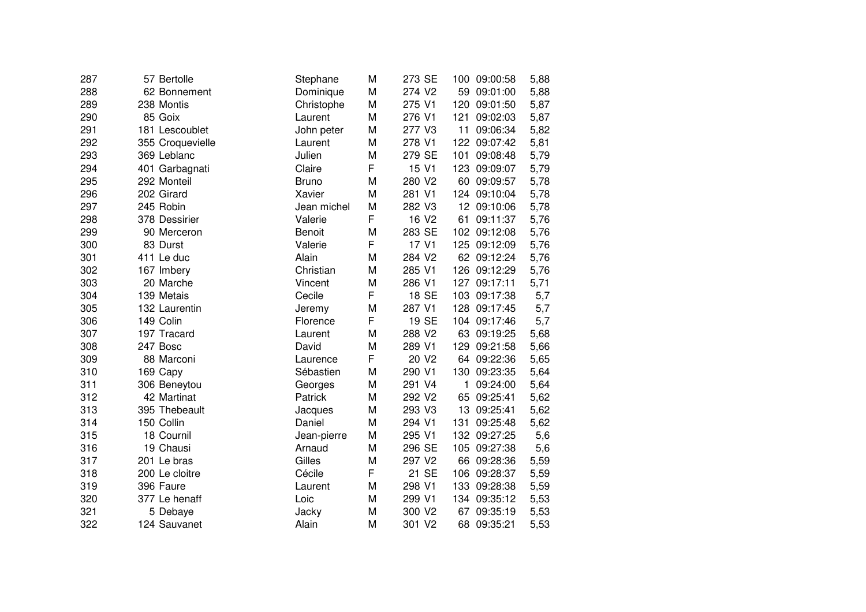| 287 | 57 Bertolle      | Stephane      | M | 273 SE            | 100 | 09:00:58     | 5,88 |
|-----|------------------|---------------|---|-------------------|-----|--------------|------|
| 288 | 62 Bonnement     | Dominique     | M | 274 V2            | 59  | 09:01:00     | 5,88 |
| 289 | 238 Montis       | Christophe    | M | 275 V1            | 120 | 09:01:50     | 5,87 |
| 290 | 85 Goix          | Laurent       | M | 276 V1            | 121 | 09:02:03     | 5,87 |
| 291 | 181 Lescoublet   | John peter    | M | 277 V3            | 11  | 09:06:34     | 5,82 |
| 292 | 355 Croquevielle | Laurent       | M | 278 V1            |     | 122 09:07:42 | 5,81 |
| 293 | 369 Leblanc      | Julien        | M | 279 SE            | 101 | 09:08:48     | 5,79 |
| 294 | 401 Garbagnati   | Claire        | F | 15 V1             |     | 123 09:09:07 | 5,79 |
| 295 | 292 Monteil      | <b>Bruno</b>  | M | 280 V2            |     | 60 09:09:57  | 5,78 |
| 296 | 202 Girard       | Xavier        | M | 281 V1            |     | 124 09:10:04 | 5,78 |
| 297 | 245 Robin        | Jean michel   | M | 282 V3            |     | 12 09:10:06  | 5,78 |
| 298 | 378 Dessirier    | Valerie       | F | 16 V <sub>2</sub> | 61  | 09:11:37     | 5,76 |
| 299 | 90 Merceron      | <b>Benoit</b> | M | 283 SE            |     | 102 09:12:08 | 5,76 |
| 300 | 83 Durst         | Valerie       | F | 17 V1             | 125 | 09:12:09     | 5,76 |
| 301 | 411 Le duc       | Alain         | M | 284 V2            |     | 62 09:12:24  | 5,76 |
| 302 | 167 Imbery       | Christian     | M | 285 V1            |     | 126 09:12:29 | 5,76 |
| 303 | 20 Marche        | Vincent       | M | 286 V1            | 127 | 09:17:11     | 5,71 |
| 304 | 139 Metais       | Cecile        | F | 18 SE             | 103 | 09:17:38     | 5,7  |
| 305 | 132 Laurentin    | Jeremy        | M | 287 V1            | 128 | 09:17:45     | 5,7  |
| 306 | 149 Colin        | Florence      | F | 19 SE             |     | 104 09:17:46 | 5,7  |
| 307 | 197 Tracard      | Laurent       | M | 288 V2            | 63  | 09:19:25     | 5,68 |
| 308 | 247 Bosc         | David         | M | 289 V1            | 129 | 09:21:58     | 5,66 |
| 309 | 88 Marconi       | Laurence      | F | 20 V2             | 64  | 09:22:36     | 5,65 |
| 310 | 169 Capy         | Sébastien     | M | 290 V1            | 130 | 09:23:35     | 5,64 |
| 311 | 306 Beneytou     | Georges       | M | 291 V4            | 1   | 09:24:00     | 5,64 |
| 312 | 42 Martinat      | Patrick       | M | 292 V2            | 65  | 09:25:41     | 5,62 |
| 313 | 395 Thebeault    | Jacques       | M | 293 V3            | 13  | 09:25:41     | 5,62 |
| 314 | 150 Collin       | Daniel        | M | 294 V1            | 131 | 09:25:48     | 5,62 |
| 315 | 18 Cournil       | Jean-pierre   | M | 295 V1            | 132 | 09:27:25     | 5,6  |
| 316 | 19 Chausi        | Arnaud        | M | 296 SE            | 105 | 09:27:38     | 5,6  |
| 317 | 201 Le bras      | Gilles        | M | 297 V2            | 66  | 09:28:36     | 5,59 |
| 318 | 200 Le cloitre   | Cécile        | F | 21 SE             |     | 106 09:28:37 | 5,59 |
| 319 | 396 Faure        | Laurent       | M | 298 V1            |     | 133 09:28:38 | 5,59 |
| 320 | 377 Le henaff    | Loic          | M | 299 V1            |     | 134 09:35:12 | 5,53 |
| 321 | 5 Debaye         | Jacky         | M | 300 V2            |     | 67 09:35:19  | 5,53 |
| 322 | 124 Sauvanet     | Alain         | M | 301 V2            | 68  | 09:35:21     | 5,53 |